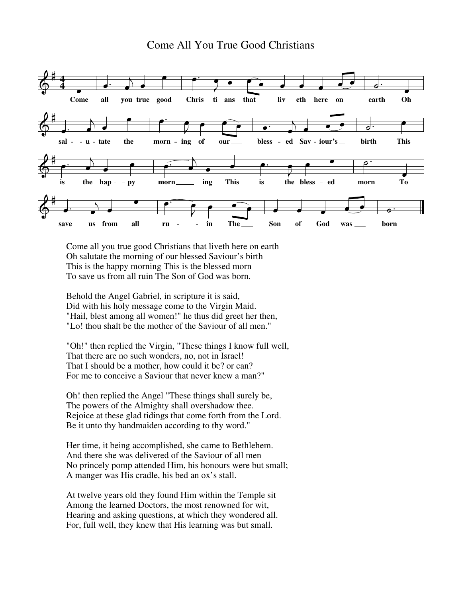## Come All You True Good Christians



Come all you true good Christians that liveth here on earth Oh salutate the morning of our blessed Saviour's birth This is the happy morning This is the blessed morn To save us from all ruin The Son of God was born.

Behold the Angel Gabriel, in scripture it is said, Did with his holy message come to the Virgin Maid. "Hail, blest among all women!" he thus did greet her then, "Lo! thou shalt be the mother of the Saviour of all men."

"Oh!" then replied the Virgin, "These things I know full well, That there are no such wonders, no, not in Israel! That I should be a mother, how could it be? or can? For me to conceive a Saviour that never knew a man?"

Oh! then replied the Angel "These things shall surely be, The powers of the Almighty shall overshadow thee. Rejoice at these glad tidings that come forth from the Lord. Be it unto thy handmaiden according to thy word."

Her time, it being accomplished, she came to Bethlehem. And there she was delivered of the Saviour of all men No princely pomp attended Him, his honours were but small; A manger was His cradle, his bed an ox's stall.

At twelve years old they found Him within the Temple sit Among the learned Doctors, the most renowned for wit, Hearing and asking questions, at which they wondered all. For, full well, they knew that His learning was but small.